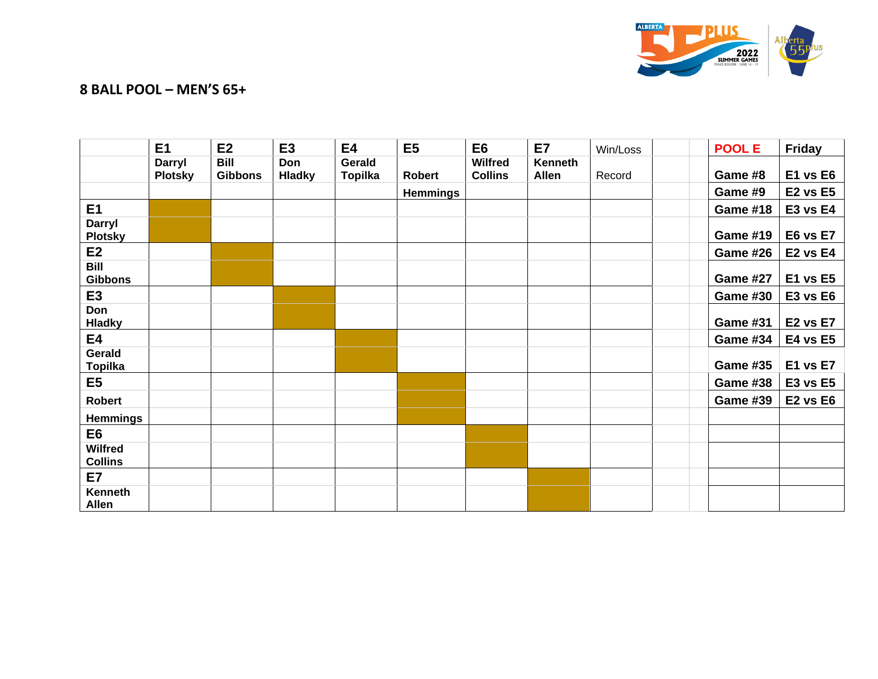

## **8 BALL POOL – MEN'S 65+**

|                                  | E <sub>1</sub> | E2             | E3            | E4             | E <sub>5</sub>  | E <sub>6</sub> | E7           | Win/Loss | <b>POOL E</b>   | <b>Friday</b>   |
|----------------------------------|----------------|----------------|---------------|----------------|-----------------|----------------|--------------|----------|-----------------|-----------------|
|                                  | Darryl         | <b>Bill</b>    | Don           | Gerald         |                 | Wilfred        | Kenneth      |          |                 |                 |
|                                  | <b>Plotsky</b> | <b>Gibbons</b> | <b>Hladky</b> | <b>Topilka</b> | <b>Robert</b>   | <b>Collins</b> | <b>Allen</b> | Record   | Game #8         | E1 vs E6        |
|                                  |                |                |               |                | <b>Hemmings</b> |                |              |          | Game #9         | <b>E2 vs E5</b> |
| <b>E1</b>                        |                |                |               |                |                 |                |              |          | <b>Game #18</b> | <b>E3 vs E4</b> |
| <b>Darryl</b><br><b>Plotsky</b>  |                |                |               |                |                 |                |              |          | <b>Game #19</b> | <b>E6 vs E7</b> |
| E2                               |                |                |               |                |                 |                |              |          | <b>Game #26</b> | <b>E2 vs E4</b> |
| Bill<br><b>Gibbons</b>           |                |                |               |                |                 |                |              |          | <b>Game #27</b> | <b>E1 vs E5</b> |
| E3                               |                |                |               |                |                 |                |              |          | <b>Game #30</b> | <b>E3 vs E6</b> |
| Don<br><b>Hladky</b>             |                |                |               |                |                 |                |              |          | <b>Game #31</b> | <b>E2 vs E7</b> |
| <b>E4</b>                        |                |                |               |                |                 |                |              |          | <b>Game #34</b> | <b>E4 vs E5</b> |
| Gerald<br><b>Topilka</b>         |                |                |               |                |                 |                |              |          | <b>Game #35</b> | <b>E1 vs E7</b> |
| E <sub>5</sub>                   |                |                |               |                |                 |                |              |          | <b>Game #38</b> | <b>E3 vs E5</b> |
| Robert                           |                |                |               |                |                 |                |              |          | <b>Game #39</b> | <b>E2 vs E6</b> |
| <b>Hemmings</b>                  |                |                |               |                |                 |                |              |          |                 |                 |
| E <sub>6</sub>                   |                |                |               |                |                 |                |              |          |                 |                 |
| <b>Wilfred</b><br><b>Collins</b> |                |                |               |                |                 |                |              |          |                 |                 |
| <b>E7</b>                        |                |                |               |                |                 |                |              |          |                 |                 |
| Kenneth<br><b>Allen</b>          |                |                |               |                |                 |                |              |          |                 |                 |